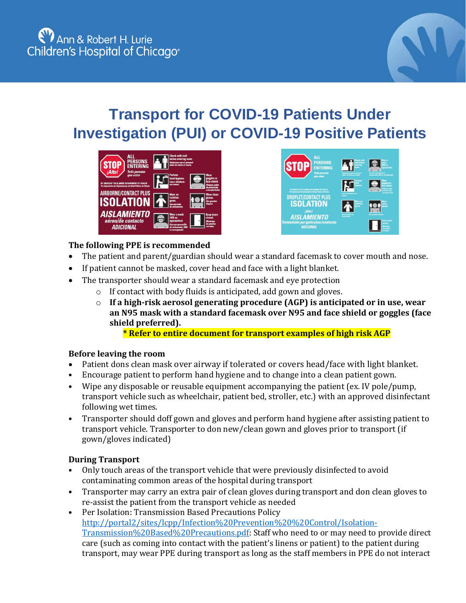

## **Transport for COVID-19 Patients Under Investigation (PUI) or COVID-19 Positive Patients**





## **The following PPE is recommended**

- The patient and parent/guardian should wear a standard facemask to cover mouth and nose.
- If patient cannot be masked, cover head and face with a light blanket.
- The transporter should wear a standard facemask and eye protection
	- o If contact with body fluids is anticipated, add gown and gloves.
	- o **If a high-risk aerosol generating procedure (AGP) is anticipated or in use, wear an N95 mask with a standard facemask over N95 and face shield or goggles (face shield preferred).**

**\* Refer to entire document for transport examples of high risk AGP**

## **Before leaving the room**

- Patient dons clean mask over airway if tolerated or covers head/face with light blanket.
- Encourage patient to perform hand hygiene and to change into a clean patient gown.
- Wipe any disposable or reusable equipment accompanying the patient (ex. IV pole/pump, transport vehicle such as wheelchair, patient bed, stroller, etc.) with an approved disinfectant following wet times.
- Transporter should doff gown and gloves and perform hand hygiene after assisting patient to transport vehicle. Transporter to don new/clean gown and gloves prior to transport (if gown/gloves indicated)

## **During Transport**

- Only touch areas of the transport vehicle that were previously disinfected to avoid contaminating common areas of the hospital during transport
- Transporter may carry an extra pair of clean gloves during transport and don clean gloves to re-assist the patient from the transport vehicle as needed
- Per Isolation: Transmission Based Precautions Policy [http://portal2/sites/lcpp/Infection%20Prevention%20%20Control/Isolation-](http://portal2/sites/lcpp/Infection%20Prevention%20%20Control/Isolation-Transmission%20Based%20Precautions.pdf)[Transmission%20Based%20Precautions.pdf:](http://portal2/sites/lcpp/Infection%20Prevention%20%20Control/Isolation-Transmission%20Based%20Precautions.pdf) Staff who need to or may need to provide direct care (such as coming into contact with the patient's linens or patient) to the patient during transport, may wear PPE during transport as long as the staff members in PPE do not interact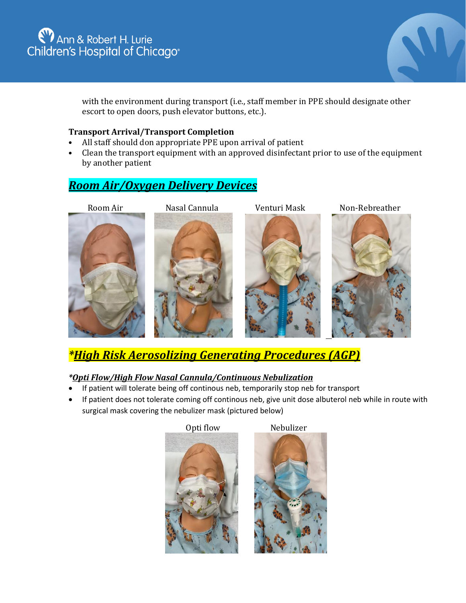## Ann & Robert H. Lurie<br>Children's Hospital of Chicago®



with the environment during transport (i.e., staff member in PPE should designate other escort to open doors, push elevator buttons, etc.).

#### **Transport Arrival/Transport Completion**

- All staff should don appropriate PPE upon arrival of patient
- Clean the transport equipment with an approved disinfectant prior to use of the equipment by another patient

## *Room Air/Oxygen Delivery Devices*

Room Air **Nasal Cannula** Venturi Mask Non-Rebreather



*\*High Risk Aerosolizing Generating Procedures (AGP)*

## *\*Opti Flow/High Flow Nasal Cannula/Continuous Nebulization*

- If patient will tolerate being off continous neb, temporarily stop neb for transport
- If patient does not tolerate coming off continous neb, give unit dose albuterol neb while in route with surgical mask covering the nebulizer mask (pictured below)